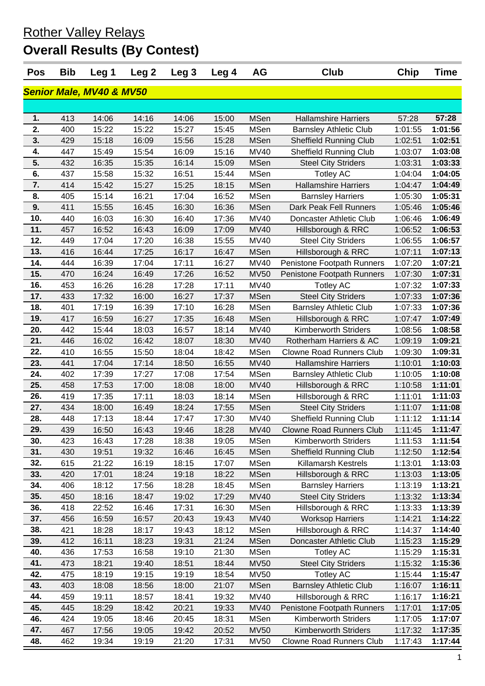Rother Valley Relays

# **Overall Results (By Contest)**

| <b>Pos</b>                          | <b>Bib</b> | Leg 1 | Leg <sub>2</sub> | Leg <sub>3</sub> | Leg 4 | <b>AG</b>   | <b>Club</b>                     | Chip    | <b>Time</b> |
|-------------------------------------|------------|-------|------------------|------------------|-------|-------------|---------------------------------|---------|-------------|
| <b>Senior Male, MV40 &amp; MV50</b> |            |       |                  |                  |       |             |                                 |         |             |
|                                     |            |       |                  |                  |       |             |                                 |         |             |
| 1.                                  | 413        | 14:06 | 14:16            | 14:06            | 15:00 | <b>MSen</b> | <b>Hallamshire Harriers</b>     | 57:28   | 57:28       |
| 2.                                  | 400        | 15:22 | 15:22            | 15:27            | 15:45 | <b>MSen</b> | <b>Barnsley Athletic Club</b>   | 1:01:55 | 1:01:56     |
| 3.                                  | 429        | 15:18 | 16:09            | 15:56            | 15:28 | <b>MSen</b> | <b>Sheffield Running Club</b>   | 1:02:51 | 1:02:51     |
| 4.                                  | 447        | 15:49 | 15:54            | 16:09            | 15:16 | <b>MV40</b> | <b>Sheffield Running Club</b>   | 1:03:07 | 1:03:08     |
| 5.                                  | 432        | 16:35 | 15:35            | 16:14            | 15:09 | <b>MSen</b> | <b>Steel City Striders</b>      | 1:03:31 | 1:03:33     |
| 6.                                  | 437        | 15:58 | 15:32            | 16:51            | 15:44 | <b>MSen</b> | <b>Totley AC</b>                | 1:04:04 | 1:04:05     |
| 7.                                  | 414        | 15:42 | 15:27            | 15:25            | 18:15 | <b>MSen</b> | <b>Hallamshire Harriers</b>     | 1:04:47 | 1:04:49     |
| 8.                                  | 405        | 15:14 | 16:21            | 17:04            | 16:52 | <b>MSen</b> | <b>Barnsley Harriers</b>        | 1:05:30 | 1:05:31     |
| 9.                                  | 411        | 15:55 | 16:45            | 16:30            | 16:36 | <b>MSen</b> | Dark Peak Fell Runners          | 1:05:46 | 1:05:46     |
| 10.                                 | 440        | 16:03 | 16:30            | 16:40            | 17:36 | <b>MV40</b> | Doncaster Athletic Club         | 1:06:46 | 1:06:49     |
| 11.                                 | 457        | 16:52 | 16:43            | 16:09            | 17:09 | <b>MV40</b> | Hillsborough & RRC              | 1:06:52 | 1:06:53     |
| 12.                                 | 449        | 17:04 | 17:20            | 16:38            | 15:55 | <b>MV40</b> | <b>Steel City Striders</b>      | 1:06:55 | 1:06:57     |
| 13.                                 | 416        | 16:44 | 17:25            | 16:17            | 16:47 | <b>MSen</b> | Hillsborough & RRC              | 1:07:11 | 1:07:13     |
| 14.                                 | 444        | 16:39 | 17:04            | 17:11            | 16:27 | <b>MV40</b> | Penistone Footpath Runners      | 1:07:20 | 1:07:21     |
| 15.                                 | 470        | 16:24 | 16:49            | 17:26            | 16:52 | <b>MV50</b> | Penistone Footpath Runners      | 1:07:30 | 1:07:31     |
| 16.                                 | 453        | 16:26 | 16:28            | 17:28            | 17:11 | <b>MV40</b> | <b>Totley AC</b>                | 1:07:32 | 1:07:33     |
| 17.                                 | 433        | 17:32 | 16:00            | 16:27            | 17:37 | <b>MSen</b> | <b>Steel City Striders</b>      | 1:07:33 | 1:07:36     |
| 18.                                 | 401        | 17:19 | 16:39            | 17:10            | 16:28 | <b>MSen</b> | <b>Barnsley Athletic Club</b>   | 1:07:33 | 1:07:36     |
| 19.                                 | 417        | 16:59 | 16:27            | 17:35            | 16:48 | <b>MSen</b> | Hillsborough & RRC              | 1:07:47 | 1:07:49     |
| 20.                                 | 442        | 15:44 | 18:03            | 16:57            | 18:14 | <b>MV40</b> | <b>Kimberworth Striders</b>     | 1:08:56 | 1:08:58     |
| 21.                                 | 446        | 16:02 | 16:42            | 18:07            | 18:30 | <b>MV40</b> | Rotherham Harriers & AC         | 1:09:19 | 1:09:21     |
| 22.                                 | 410        | 16:55 | 15:50            | 18:04            | 18:42 | <b>MSen</b> | <b>Clowne Road Runners Club</b> | 1:09:30 | 1:09:31     |
| 23.                                 | 441        | 17:04 | 17:14            | 18:50            | 16:55 | <b>MV40</b> | <b>Hallamshire Harriers</b>     | 1:10:01 | 1:10:03     |
| 24.                                 | 402        | 17:39 | 17:27            | 17:08            | 17:54 | <b>MSen</b> | <b>Barnsley Athletic Club</b>   | 1:10:05 | 1:10:08     |
| 25.                                 | 458        | 17:53 | 17:00            | 18:08            | 18:00 | <b>MV40</b> | Hillsborough & RRC              | 1:10:58 | 1:11:01     |
| 26.                                 | 419        | 17:35 | 17:11            | 18:03            | 18:14 | <b>MSen</b> | Hillsborough & RRC              | 1:11:01 | 1:11:03     |
| 27.                                 | 434        | 18:00 | 16:49            | 18:24            | 17:55 | <b>MSen</b> | <b>Steel City Striders</b>      | 1:11:07 | 1:11:08     |
| 28.                                 | 448        | 17:13 | 18:44            | 17:47            | 17:30 | <b>MV40</b> | <b>Sheffield Running Club</b>   | 1:11:12 | 1:11:14     |
| 29.                                 | 439        | 16:50 | 16:43            | 19:46            | 18:28 | MV40        | <b>Clowne Road Runners Club</b> | 1:11:45 | 1:11:47     |
| 30.                                 | 423        | 16:43 | 17:28            | 18:38            | 19:05 | <b>MSen</b> | Kimberworth Striders            | 1:11:53 | 1:11:54     |
| 31.                                 | 430        | 19:51 | 19:32            | 16:46            | 16:45 | <b>MSen</b> | <b>Sheffield Running Club</b>   | 1:12:50 | 1:12:54     |
| 32.                                 | 615        | 21:22 | 16:19            | 18:15            | 17:07 | MSen        | Killamarsh Kestrels             | 1:13:01 | 1:13:03     |
| 33.                                 | 420        | 17:01 | 18:24            | 19:18            | 18:22 | <b>MSen</b> | Hillsborough & RRC              | 1:13:03 | 1:13:05     |
| 34.                                 | 406        | 18:12 | 17:56            | 18:28            | 18:45 | <b>MSen</b> | <b>Barnsley Harriers</b>        | 1:13:19 | 1:13:21     |
| 35.                                 | 450        | 18:16 | 18:47            | 19:02            | 17:29 | <b>MV40</b> | <b>Steel City Striders</b>      | 1:13:32 | 1:13:34     |
| 36.                                 | 418        | 22:52 | 16:46            | 17:31            | 16:30 | <b>MSen</b> | Hillsborough & RRC              | 1:13:33 | 1:13:39     |
| 37.                                 | 456        | 16:59 | 16:57            | 20:43            | 19:43 | <b>MV40</b> | <b>Worksop Harriers</b>         | 1:14:21 | 1:14:22     |
| 38.                                 | 421        | 18:28 | 18:17            | 19:43            | 18:12 | <b>MSen</b> | Hillsborough & RRC              | 1:14:37 | 1:14:40     |
| 39.                                 | 412        | 16:11 | 18:23            | 19:31            | 21:24 | MSen        | Doncaster Athletic Club         | 1:15:23 | 1:15:29     |
| 40.                                 | 436        | 17:53 | 16:58            | 19:10            | 21:30 | <b>MSen</b> | <b>Totley AC</b>                | 1:15:29 | 1:15:31     |
| 41.                                 | 473        | 18:21 | 19:40            | 18:51            | 18:44 | <b>MV50</b> | <b>Steel City Striders</b>      | 1:15:32 | 1:15:36     |
| 42.                                 | 475        | 18:19 | 19:15            | 19:19            | 18:54 | <b>MV50</b> | <b>Totley AC</b>                | 1:15:44 | 1:15:47     |
| 43.                                 | 403        | 18:08 | 18:56            | 18:00            | 21:07 | <b>MSen</b> | <b>Barnsley Athletic Club</b>   | 1:16:07 | 1:16:11     |
| 44.                                 | 459        | 19:11 | 18:57            | 18:41            | 19:32 | MV40        | Hillsborough & RRC              | 1:16:17 | 1:16:21     |
| 45.                                 | 445        | 18:29 | 18:42            | 20:21            | 19:33 | <b>MV40</b> | Penistone Footpath Runners      | 1:17:01 | 1:17:05     |
| 46.                                 | 424        | 19:05 | 18:46            | 20:45            | 18:31 | <b>MSen</b> | <b>Kimberworth Striders</b>     | 1:17:05 | 1:17:07     |
| 47.                                 | 467        | 17:56 | 19:05            | 19:42            | 20:52 | <b>MV50</b> | <b>Kimberworth Striders</b>     | 1:17:32 | 1:17:35     |
| 48.                                 | 462        | 19:34 | 19:19            | 21:20            | 17:31 | <b>MV50</b> | <b>Clowne Road Runners Club</b> | 1:17:43 | 1:17:44     |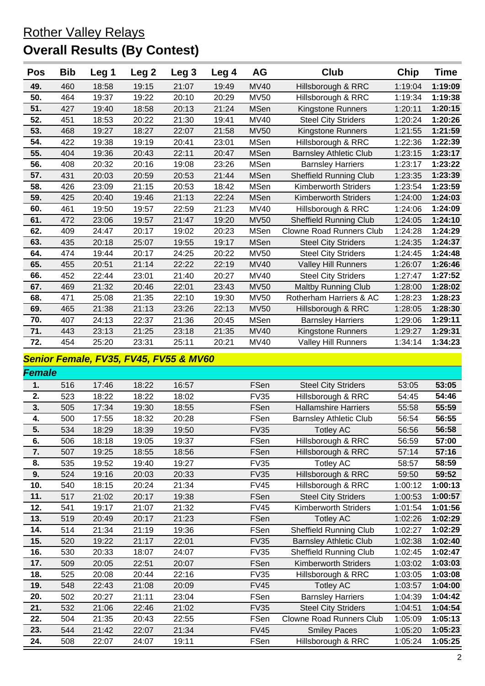### Rother Valley Relays **Overall Results (By Contest)**

| <b>Pos</b> | <b>Bib</b> | Leg 1 | Leg <sub>2</sub> | Leg <sub>3</sub> | Leg 4 | AG          | Club                            | Chip    | Time    |
|------------|------------|-------|------------------|------------------|-------|-------------|---------------------------------|---------|---------|
| 49.        | 460        | 18:58 | 19:15            | 21:07            | 19:49 | <b>MV40</b> | Hillsborough & RRC              | 1:19:04 | 1:19:09 |
| 50.        | 464        | 19:37 | 19:22            | 20:10            | 20:29 | <b>MV50</b> | Hillsborough & RRC              | 1:19:34 | 1:19:38 |
| 51.        | 427        | 19:40 | 18:58            | 20:13            | 21:24 | <b>MSen</b> | Kingstone Runners               | 1:20:11 | 1:20:15 |
| 52.        | 451        | 18:53 | 20:22            | 21:30            | 19:41 | <b>MV40</b> | <b>Steel City Striders</b>      | 1:20:24 | 1:20:26 |
| 53.        | 468        | 19:27 | 18:27            | 22:07            | 21:58 | <b>MV50</b> | Kingstone Runners               | 1:21:55 | 1:21:59 |
| 54.        | 422        | 19:38 | 19:19            | 20:41            | 23:01 | <b>MSen</b> | Hillsborough & RRC              | 1:22:36 | 1:22:39 |
| 55.        | 404        | 19:36 | 20:43            | 22:11            | 20:47 | <b>MSen</b> | <b>Barnsley Athletic Club</b>   | 1:23:15 | 1:23:17 |
| 56.        | 408        | 20:32 | 20:16            | 19:08            | 23:26 | <b>MSen</b> | <b>Barnsley Harriers</b>        | 1:23:17 | 1:23:22 |
| 57.        | 431        | 20:03 | 20:59            | 20:53            | 21:44 | <b>MSen</b> | <b>Sheffield Running Club</b>   | 1:23:35 | 1:23:39 |
| 58.        | 426        | 23:09 | 21:15            | 20:53            | 18:42 | <b>MSen</b> | <b>Kimberworth Striders</b>     | 1:23:54 | 1:23:59 |
| 59.        | 425        | 20:40 | 19:46            | 21:13            | 22:24 | <b>MSen</b> | <b>Kimberworth Striders</b>     | 1:24:00 | 1:24:03 |
| 60.        | 461        | 19:50 | 19:57            | 22:59            | 21:23 | MV40        | Hillsborough & RRC              | 1:24:06 | 1:24:09 |
| 61.        | 472        | 23:06 | 19:57            | 21:47            | 19:20 | <b>MV50</b> | <b>Sheffield Running Club</b>   | 1:24:05 | 1:24:10 |
| 62.        | 409        | 24:47 | 20:17            | 19:02            | 20:23 | <b>MSen</b> | <b>Clowne Road Runners Club</b> | 1:24:28 | 1:24:29 |
| 63.        | 435        | 20:18 | 25:07            | 19:55            | 19:17 | <b>MSen</b> | <b>Steel City Striders</b>      | 1:24:35 | 1:24:37 |
| 64.        | 474        | 19:44 | 20:17            | 24:25            | 20:22 | <b>MV50</b> | <b>Steel City Striders</b>      | 1:24:45 | 1:24:48 |
| 65.        | 455        | 20:51 | 21:14            | 22:22            | 22:19 | <b>MV40</b> | <b>Valley Hill Runners</b>      | 1:26:07 | 1:26:46 |
| 66.        | 452        | 22:44 | 23:01            | 21:40            | 20:27 | MV40        | <b>Steel City Striders</b>      | 1:27:47 | 1:27:52 |
| 67.        | 469        | 21:32 | 20:46            | 22:01            | 23:43 | <b>MV50</b> | <b>Maltby Running Club</b>      | 1:28:00 | 1:28:02 |
| 68.        | 471        | 25:08 | 21:35            | 22:10            | 19:30 | <b>MV50</b> | Rotherham Harriers & AC         | 1:28:23 | 1:28:23 |
| 69.        | 465        | 21:38 | 21:13            | 23:26            | 22:13 | <b>MV50</b> | Hillsborough & RRC              | 1:28:05 | 1:28:30 |
| 70.        | 407        | 24:13 | 22:37            | 21:36            | 20:45 | <b>MSen</b> | <b>Barnsley Harriers</b>        | 1:29:06 | 1:29:11 |
| 71.        | 443        | 23:13 | 21:25            | 23:18            | 21:35 | <b>MV40</b> | Kingstone Runners               | 1:29:27 | 1:29:31 |
| 72.        | 454        | 25:20 | 23:31            | 25:11            | 20:21 | <b>MV40</b> | <b>Valley Hill Runners</b>      | 1:34:14 | 1:34:23 |

#### *Senior Female, FV35, FV45, FV55 & MV60*

*Female* **1.** 516 17:46 18:22 16:57 FSen Steel City Striders 53:05 **53:05 2.** 523 18:22 18:22 18:02 FV35 Hillsborough & RRC 54:45 **54:46 3.** 505 17:34 19:30 18:55 FSen Hallamshire Harriers 55:58 **55:59 4.** 500 17:55 18:32 20:28 FSen Barnsley Athletic Club 56:54 **56:55 5.** 534 18:29 18:39 19:50 FV35 Totley AC 56:56 **56:58 6.** 506 18:18 19:05 19:37 FSen Hillsborough & RRC 56:59 **57:00 7.** 507 19:25 18:55 18:56 FSen Hillsborough & RRC 57:14 **57:16 8.** 535 19:52 19:40 19:27 FV35 Totley AC 58:57 **58:59 9.** 524 19:16 20:03 20:33 FV35 Hillsborough & RRC 59:50 **59:52 10.** 540 18:15 20:24 21:34 FV45 Hillsborough & RRC 1:00:12 **1:00:13 11.** 517 21:02 20:17 19:38 FSen Steel City Striders 1:00:53 **1:00:57 12.** 541 19:17 21:07 21:32 FV45 Kimberworth Striders 1:01:54 **1:01:56 13.** 519 20:49 20:17 21:23 FSen Totley AC 1:02:26 **1:02:29 14.** 514 21:34 21:19 19:36 FSen Sheffield Running Club 1:02:27 **1:02:29 15.** 520 19:22 21:17 22:01 FV35 Barnsley Athletic Club 1:02:38 **1:02:40 16.** 530 20:33 18:07 24:07 FV35 Sheffield Running Club 1:02:45 **1:02:47 17.** 509 20:05 22:51 20:07 FSen Kimberworth Striders 1:03:02 **1:03:03 18.** 525 20:08 20:44 22:16 FV35 Hillsborough & RRC 1:03:05 **1:03:08 19.** 548 22:43 21:08 20:09 FV45 Totley AC 1:03:57 **1:04:00 20.** 502 20:27 21:11 23:04 FSen Barnsley Harriers 1:04:39 **1:04:42 21.** 532 21:06 22:46 21:02 FV35 Steel City Striders 1:04:51 **1:04:54 22.** 504 21:35 20:43 22:55 FSen Clowne Road Runners Club 1:05:09 **1:05:13 23.** 544 21:42 22:07 21:34 FV45 Smiley Paces 1:05:20 **1:05:23 24.** 508 22:07 24:07 19:11 FSen Hillsborough & RRC 1:05:24 **1:05:25**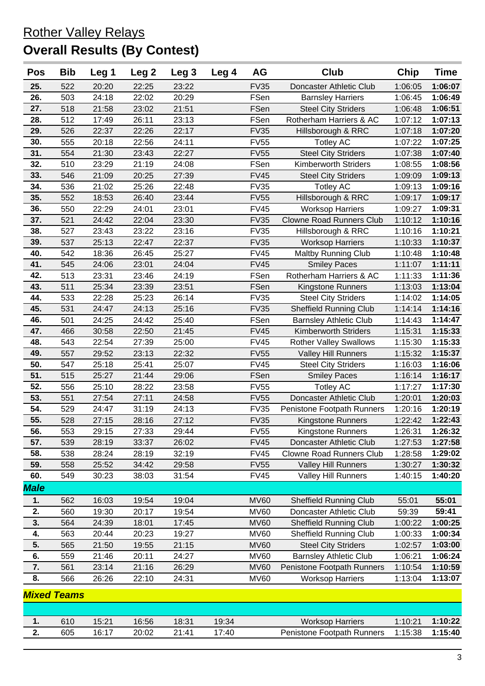## Rother Valley Relays **Overall Results (By Contest)**

| <b>Pos</b>  | <b>Bib</b>         | Leg 1 | Leg <sub>2</sub> | Leg <sub>3</sub> | Leg 4 | AG          | Club                            | Chip    | <b>Time</b> |
|-------------|--------------------|-------|------------------|------------------|-------|-------------|---------------------------------|---------|-------------|
| 25.         | 522                | 20:20 | 22:25            | 23:22            |       | <b>FV35</b> | Doncaster Athletic Club         | 1:06:05 | 1:06:07     |
| 26.         | 503                | 24:18 | 22:02            | 20:29            |       | FSen        | <b>Barnsley Harriers</b>        | 1:06:45 | 1:06:49     |
| 27.         | 518                | 21:58 | 23:02            | 21:51            |       | FSen        | <b>Steel City Striders</b>      | 1:06:48 | 1:06:51     |
| 28.         | 512                | 17:49 | 26:11            | 23:13            |       | FSen        | Rotherham Harriers & AC         | 1:07:12 | 1:07:13     |
| 29.         | 526                | 22:37 | 22:26            | 22:17            |       | <b>FV35</b> | Hillsborough & RRC              | 1:07:18 | 1:07:20     |
| 30.         | 555                | 20:18 | 22:56            | 24:11            |       | <b>FV55</b> | <b>Totley AC</b>                | 1:07:22 | 1:07:25     |
| 31.         | 554                | 21:30 | 23:43            | 22:27            |       | <b>FV55</b> | <b>Steel City Striders</b>      | 1:07:38 | 1:07:40     |
| 32.         | 510                | 23:29 | 21:19            | 24:08            |       | FSen        | <b>Kimberworth Striders</b>     | 1:08:55 | 1:08:56     |
| 33.         | 546                | 21:09 | 20:25            | 27:39            |       | <b>FV45</b> | <b>Steel City Striders</b>      | 1:09:09 | 1:09:13     |
| 34.         | 536                | 21:02 | 25:26            | 22:48            |       | <b>FV35</b> | <b>Totley AC</b>                | 1:09:13 | 1:09:16     |
| 35.         | 552                | 18:53 | 26:40            | 23:44            |       | <b>FV55</b> | Hillsborough & RRC              | 1:09:17 | 1:09:17     |
| 36.         | 550                | 22:29 | 24:01            | 23:01            |       | <b>FV45</b> | <b>Worksop Harriers</b>         | 1:09:27 | 1:09:31     |
| 37.         | 521                | 24:42 | 22:04            | 23:30            |       | <b>FV35</b> | <b>Clowne Road Runners Club</b> | 1:10:12 | 1:10:16     |
| 38.         | 527                | 23:43 | 23:22            | 23:16            |       | <b>FV35</b> | Hillsborough & RRC              | 1:10:16 | 1:10:21     |
| 39.         | 537                | 25:13 | 22:47            | 22:37            |       | <b>FV35</b> | <b>Worksop Harriers</b>         | 1:10:33 | 1:10:37     |
| 40.         | 542                | 18:36 | 26:45            | 25:27            |       | <b>FV45</b> | <b>Maltby Running Club</b>      | 1:10:48 | 1:10:48     |
| 41.         | 545                | 24:06 | 23:01            | 24:04            |       | <b>FV45</b> | <b>Smiley Paces</b>             | 1:11:07 | 1:11:11     |
| 42.         | 513                | 23:31 | 23:46            | 24:19            |       | FSen        | Rotherham Harriers & AC         | 1:11:33 | 1:11:36     |
| 43.         | 511                | 25:34 | 23:39            | 23:51            |       | FSen        | Kingstone Runners               | 1:13:03 | 1:13:04     |
| 44.         | 533                | 22:28 | 25:23            | 26:14            |       | <b>FV35</b> | <b>Steel City Striders</b>      | 1:14:02 | 1:14:05     |
| 45.         | 531                | 24:47 | 24:13            | 25:16            |       | <b>FV35</b> | <b>Sheffield Running Club</b>   | 1:14:14 | 1:14:16     |
| 46.         | 501                | 24:25 | 24:42            | 25:40            |       | FSen        | <b>Barnsley Athletic Club</b>   | 1:14:43 | 1:14:47     |
| 47.         | 466                | 30:58 | 22:50            | 21:45            |       | <b>FV45</b> | <b>Kimberworth Striders</b>     | 1:15:31 | 1:15:33     |
| 48.         | 543                | 22:54 | 27:39            | 25:00            |       | <b>FV45</b> | <b>Rother Valley Swallows</b>   | 1:15:30 | 1:15:33     |
| 49.         | 557                | 29:52 | 23:13            | 22:32            |       | <b>FV55</b> | <b>Valley Hill Runners</b>      | 1:15:32 | 1:15:37     |
| 50.         | 547                | 25:18 | 25:41            | 25:07            |       | <b>FV45</b> | <b>Steel City Striders</b>      | 1:16:03 | 1:16:06     |
| 51.         | 515                | 25:27 | 21:44            | 29:06            |       | FSen        | <b>Smiley Paces</b>             | 1:16:14 | 1:16:17     |
| 52.         | 556                | 25:10 | 28:22            | 23:58            |       | <b>FV55</b> | <b>Totley AC</b>                | 1:17:27 | 1:17:30     |
| 53.         | 551                | 27:54 | 27:11            | 24:58            |       | <b>FV55</b> | Doncaster Athletic Club         | 1:20:01 | 1:20:03     |
| 54.         | 529                | 24:47 | 31:19            | 24:13            |       | <b>FV35</b> | Penistone Footpath Runners      | 1:20:16 | 1:20:19     |
| 55.         | 528                | 27:15 | 28:16            | 27:12            |       | <b>FV35</b> | Kingstone Runners               | 1:22:42 | 1:22:43     |
| 56.         | 553                | 29:15 | 27:33            | 29:44            |       | <b>FV55</b> | Kingstone Runners               | 1:26:31 | 1:26:32     |
| 57.         | 539                | 28:19 | 33:37            | 26:02            |       | <b>FV45</b> | Doncaster Athletic Club         | 1:27:53 | 1:27:58     |
| 58.         | 538                | 28:24 | 28:19            | 32:19            |       | <b>FV45</b> | <b>Clowne Road Runners Club</b> | 1:28:58 | 1:29:02     |
| 59.         | 558                | 25:52 | 34:42            | 29:58            |       | <b>FV55</b> | <b>Valley Hill Runners</b>      | 1:30:27 | 1:30:32     |
| 60.         | 549                | 30:23 | 38:03            | 31:54            |       | <b>FV45</b> | <b>Valley Hill Runners</b>      | 1:40:15 | 1:40:20     |
| <b>Male</b> |                    |       |                  |                  |       |             |                                 |         |             |
| 1.          | 562                | 16:03 | 19:54            | 19:04            |       | <b>MV60</b> | <b>Sheffield Running Club</b>   | 55:01   | 55:01       |
| 2.          | 560                | 19:30 | 20:17            | 19:54            |       | <b>MV60</b> | Doncaster Athletic Club         | 59:39   | 59:41       |
| 3.          | 564                | 24:39 | 18:01            | 17:45            |       | <b>MV60</b> | Sheffield Running Club          | 1:00:22 | 1:00:25     |
| 4.          | 563                | 20:44 | 20:23            | 19:27            |       | <b>MV60</b> | <b>Sheffield Running Club</b>   | 1:00:33 | 1:00:34     |
| 5.          | 565                | 21:50 | 19:55            | 21:15            |       | <b>MV60</b> | <b>Steel City Striders</b>      | 1:02:57 | 1:03:00     |
| 6.          | 559                | 21:46 | 20:11            | 24:27            |       | <b>MV60</b> | <b>Barnsley Athletic Club</b>   | 1:06:21 | 1:06:24     |
| 7.          | 561                | 23:14 | 21:16            | 26:29            |       | <b>MV60</b> | Penistone Footpath Runners      | 1:10:54 | 1:10:59     |
| 8.          | 566                | 26:26 | 22:10            | 24:31            |       | <b>MV60</b> | <b>Worksop Harriers</b>         | 1:13:04 | 1:13:07     |
|             | <b>Mixed Teams</b> |       |                  |                  |       |             |                                 |         |             |
|             |                    |       |                  |                  |       |             |                                 |         |             |
| 1.          | 610                | 15:21 | 16:56            | 18:31            | 19:34 |             | <b>Worksop Harriers</b>         | 1:10:21 | 1:10:22     |
| 2.          | 605                | 16:17 | 20:02            | 21:41            | 17:40 |             | Penistone Footpath Runners      | 1:15:38 | 1:15:40     |
|             |                    |       |                  |                  |       |             |                                 |         |             |